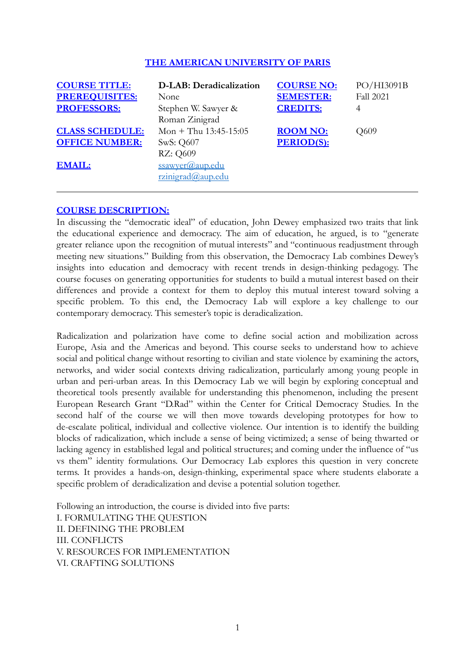## **THE AMERICAN UNIVERSITY OF PARIS**

| <b>COURSE TITLE:</b><br><b>PREREQUISITES:</b><br><b>PROFESSORS:</b> | D-LAB: Deradicalization<br>None<br>Stephen W. Sawyer &<br>Roman Zinigrad | <b>COURSE NO:</b><br><b>SEMESTER:</b><br><b>CREDITS:</b> | PO/HI3091B<br><b>Fall 2021</b><br>4 |
|---------------------------------------------------------------------|--------------------------------------------------------------------------|----------------------------------------------------------|-------------------------------------|
| <b>CLASS SCHEDULE:</b><br><b>OFFICE NUMBER:</b><br><b>EMAIL:</b>    | Mon + Thu $13:45-15:05$<br>SwS: Q607<br>RZ: Q609<br>ssawyer@aup.edu      | <b>ROOM NO:</b><br><b>PERIOD(S):</b>                     | Q609                                |
|                                                                     | $rzinigrad$ @aup.edu                                                     |                                                          |                                     |

## **COURSE DESCRIPTION:**

In discussing the "democratic ideal" of education, John Dewey emphasized two traits that link the educational experience and democracy. The aim of education, he argued, is to "generate greater reliance upon the recognition of mutual interests" and "continuous readjustment through meeting new situations." Building from this observation, the Democracy Lab combines Dewey's insights into education and democracy with recent trends in design-thinking pedagogy. The course focuses on generating opportunities for students to build a mutual interest based on their differences and provide a context for them to deploy this mutual interest toward solving a specific problem. To this end, the Democracy Lab will explore a key challenge to our contemporary democracy. This semester's topic is deradicalization.

Radicalization and polarization have come to define social action and mobilization across Europe, Asia and the Americas and beyond. This course seeks to understand how to achieve social and political change without resorting to civilian and state violence by examining the actors, networks, and wider social contexts driving radicalization, particularly among young people in urban and peri-urban areas. In this Democracy Lab we will begin by exploring conceptual and theoretical tools presently available for understanding this phenomenon, including the present European Research Grant "D.Rad" within the Center for Critical Democracy Studies. In the second half of the course we will then move towards developing prototypes for how to de-escalate political, individual and collective violence. Our intention is to identify the building blocks of radicalization, which include a sense of being victimized; a sense of being thwarted or lacking agency in established legal and political structures; and coming under the influence of "us vs them" identity formulations. Our Democracy Lab explores this question in very concrete terms. It provides a hands-on, design-thinking, experimental space where students elaborate a specific problem of deradicalization and devise a potential solution together.

Following an introduction, the course is divided into five parts: I. FORMULATING THE QUESTION II. DEFINING THE PROBLEM III. CONFLICTS V. RESOURCES FOR IMPLEMENTATION VI. CRAFTING SOLUTIONS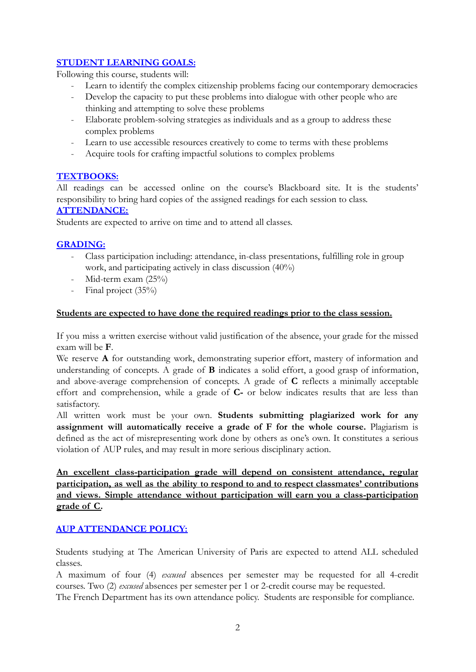# **STUDENT LEARNING GOALS:**

Following this course, students will:

- Learn to identify the complex citizenship problems facing our contemporary democracies
- Develop the capacity to put these problems into dialogue with other people who are thinking and attempting to solve these problems
- Elaborate problem-solving strategies as individuals and as a group to address these complex problems
- Learn to use accessible resources creatively to come to terms with these problems
- Acquire tools for crafting impactful solutions to complex problems

## **TEXTBOOKS:**

All readings can be accessed online on the course's Blackboard site. It is the students' responsibility to bring hard copies of the assigned readings for each session to class.

# **ATTENDANCE:**

Students are expected to arrive on time and to attend all classes.

# **GRADING:**

- Class participation including: attendance, in-class presentations, fulfilling role in group work, and participating actively in class discussion (40%)
- Mid-term exam  $(25\%)$
- Final project (35%)

## **Students are expected to have done the required readings prior to the class session.**

If you miss a written exercise without valid justification of the absence, your grade for the missed exam will be **F**.

We reserve **A** for outstanding work, demonstrating superior effort, mastery of information and understanding of concepts. A grade of **B** indicates a solid effort, a good grasp of information, and above-average comprehension of concepts. A grade of **C** reflects a minimally acceptable effort and comprehension, while a grade of **C-** or below indicates results that are less than satisfactory.

All written work must be your own. **Students submitting plagiarized work for any assignment will automatically receive a grade of F for the whole course.** Plagiarism is defined as the act of misrepresenting work done by others as one's own. It constitutes a serious violation of AUP rules, and may result in more serious disciplinary action.

**An excellent class-participation grade will depend on consistent attendance, regular participation, as well as the ability to respond to and to respect classmates' contributions and views. Simple attendance without participation will earn you a class-participation grade of C.**

# **AUP ATTENDANCE POLICY:**

Students studying at The American University of Paris are expected to attend ALL scheduled classes.

A maximum of four (4) *excused* absences per semester may be requested for all 4-credit courses. Two (2) *excused* absences per semester per 1 or 2-credit course may be requested.

The French Department has its own attendance policy. Students are responsible for compliance.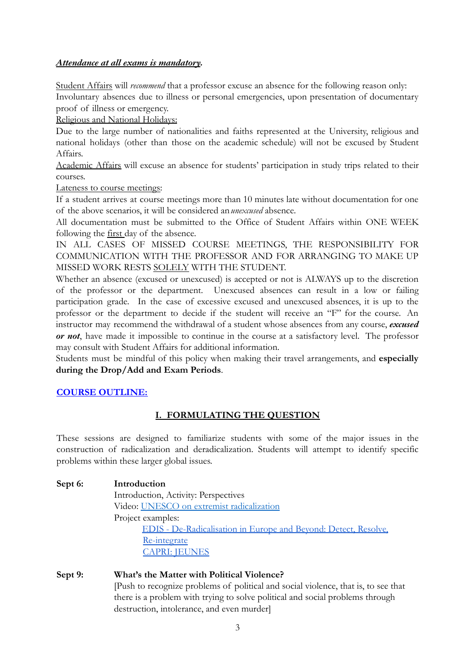## *Attendance at all exams is mandatory.*

Student Affairs will *recommend* that a professor excuse an absence for the following reason only: Involuntary absences due to illness or personal emergencies, upon presentation of documentary proof of illness or emergency.

Religious and National Holidays:

Due to the large number of nationalities and faiths represented at the University, religious and national holidays (other than those on the academic schedule) will not be excused by Student Affairs.

Academic Affairs will excuse an absence for students' participation in study trips related to their courses.

Lateness to course meetings:

If a student arrives at course meetings more than 10 minutes late without documentation for one of the above scenarios, it will be considered an*unexcused* absence.

All documentation must be submitted to the Office of Student Affairs within ONE WEEK following the first day of the absence.

IN ALL CASES OF MISSED COURSE MEETINGS, THE RESPONSIBILITY FOR COMMUNICATION WITH THE PROFESSOR AND FOR ARRANGING TO MAKE UP MISSED WORK RESTS SOLELY WITH THE STUDENT.

Whether an absence (excused or unexcused) is accepted or not is ALWAYS up to the discretion of the professor or the department. Unexcused absences can result in a low or failing participation grade. In the case of excessive excused and unexcused absences, it is up to the professor or the department to decide if the student will receive an "F" for the course. An instructor may recommend the withdrawal of a student whose absences from any course, *excused or not*, have made it impossible to continue in the course at a satisfactory level. The professor may consult with Student Affairs for additional information.

Students must be mindful of this policy when making their travel arrangements, and **especially during the Drop/Add and Exam Periods**.

# **COURSE OUTLINE:**

# **I. FORMULATING THE QUESTION**

These sessions are designed to familiarize students with some of the major issues in the construction of radicalization and deradicalization. Students will attempt to identify specific problems within these larger global issues.

**Sept 6: Introduction** Introduction, Activity: Perspectives Video: [UNESCO on extremist radicalization](https://en.unesco.org/preventingviolentextremism) Project examples: [EDIS - De-Radicalisation in Europe and Beyond: Detect, Resolve,](https://www.eurac.edu/en/institutes-centers/institute-for-minority-rights/projects/drad) [Re-integrate](https://www.eurac.edu/en/institutes-centers/institute-for-minority-rights/projects/drad) [CAPRI: JEUNES](http://www.radicalisation.fr/)

**Sept 9: What's the Matter with Political Violence?** [Push to recognize problems of political and social violence, that is, to see that there is a problem with trying to solve political and social problems through destruction, intolerance, and even murder]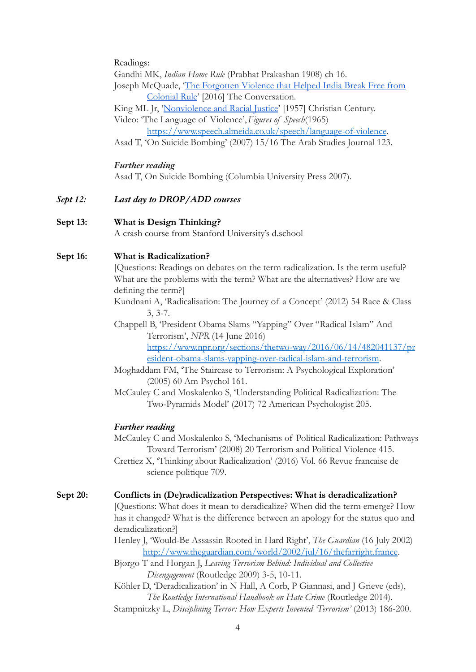Readings:

Gandhi MK, *Indian Home Rule* (Prabhat Prakashan 1908) ch 16.

Joseph McQuade, ['The Forgotten Violence that Helped](https://theconversation.com/the-forgotten-violence-that-helped-india-break-free-from-colonial-rule-57904) India Break Free from [Colonial Rule](https://theconversation.com/the-forgotten-violence-that-helped-india-break-free-from-colonial-rule-57904)' [2016] The Conversation.

King ML Jr, '[Nonviolence and Racial Justice](https://kinginstitute.stanford.edu/king-papers/documents/nonviolence-and-racial-justice)' [1957] Christian Century.

Video: 'The Language of Violence',*Figures of Speech*(1965)

<https://www.speech.almeida.co.uk/speech/language-of-violence>.

Asad T, 'On Suicide Bombing' (2007) 15/16 The Arab Studies Journal 123.

#### *Further reading*

Asad T, On Suicide Bombing (Columbia University Press 2007).

*Sept 12: Last day to DROP/ADD courses*

### **Sept 13: What is Design Thinking?**

A crash course from Stanford University's d.school

#### **Sept 16: What is Radicalization?**

[Questions: Readings on debates on the term radicalization. Is the term useful? What are the problems with the term? What are the alternatives? How are we defining the term?]

- Kundnani A, 'Radicalisation: The Journey of a Concept' (2012) 54 Race & Class 3, 3-7.
- Chappell B, 'President Obama Slams "Yapping" Over "Radical Islam" And Terrorism', *NPR* (14 June 2016)

[https://www.npr.org/sections/thetwo-way/2016/06/14/482041137/pr](https://www.npr.org/sections/thetwo-way/2016/06/14/482041137/president-obama-slams-yapping-over-radical-islam-and-terrorism) [esident-obama-slams-yapping-over-radical-islam-and-terrorism.](https://www.npr.org/sections/thetwo-way/2016/06/14/482041137/president-obama-slams-yapping-over-radical-islam-and-terrorism)

Moghaddam FM, 'The Staircase to Terrorism: A Psychological Exploration' (2005) 60 Am Psychol 161.

McCauley C and Moskalenko S, 'Understanding Political Radicalization: The Two-Pyramids Model' (2017) 72 American Psychologist 205.

### *Further reading*

McCauley C and Moskalenko S, 'Mechanisms of Political Radicalization: Pathways Toward Terrorism' (2008) 20 Terrorism and Political Violence 415.

Crettiez X, 'Thinking about Radicalization' (2016) Vol. 66 Revue francaise de science politique 709.

#### **Sept 20: Conflicts in (De)radicalization Perspectives: What is deradicalization?**

[Questions: What does it mean to deradicalize? When did the term emerge? How has it changed? What is the difference between an apology for the status quo and deradicalization?]

Henley J, 'Would-Be Assassin Rooted in Hard Right', *The Guardian* (16 July 2002) <http://www.theguardian.com/world/2002/jul/16/thefarright.france>.

Bjørgo T and Horgan J, *Leaving Terrorism Behind: Individual and Collective Disengagement* (Routledge 2009) 3-5, 10-11.

Köhler D, 'Deradicalization' in N Hall, A Corb, P Giannasi, and J Grieve (eds), *The Routledge International Handbook on Hate Crime* (Routledge 2014).

Stampnitzky L, *Disciplining Terror: How Experts Invented 'Terrorism'* (2013) 186-200.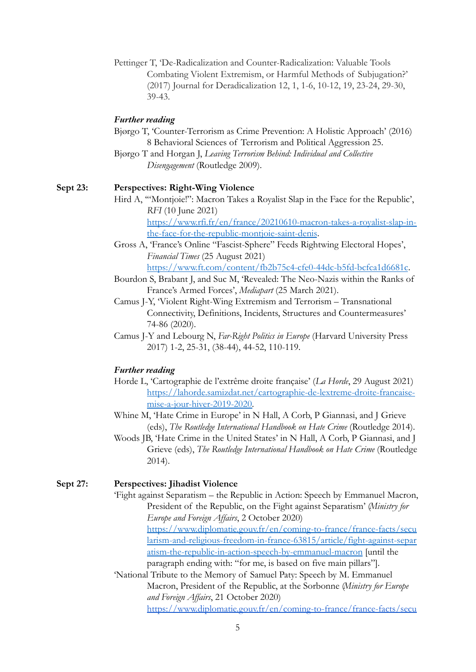Pettinger T, 'De-Radicalization and Counter-Radicalization: Valuable Tools Combating Violent Extremism, or Harmful Methods of Subjugation?' (2017) Journal for Deradicalization 12, 1, 1-6, 10-12, 19, 23-24, 29-30, 39-43.

#### *Further reading*

- Bjørgo T, 'Counter-Terrorism as Crime Prevention: A Holistic Approach' (2016) 8 Behavioral Sciences of Terrorism and Political Aggression 25.
- Bjørgo T and Horgan J, *Leaving Terrorism Behind: Individual and Collective Disengagement* (Routledge 2009).

## **Sept 23: Perspectives: Right-Wing Violence**

Hird A, '"Montjoie!": Macron Takes a Royalist Slap in the Face for the Republic', *RFI* (10 June 2021)

[https://www.rfi.fr/en/france/20210610-macron-takes-a-royalist-slap-in](https://www.rfi.fr/en/france/20210610-macron-takes-a-royalist-slap-in-the-face-for-the-republic-montjoie-saint-denis)[the-face-for-the-republic-montjoie-saint-denis](https://www.rfi.fr/en/france/20210610-macron-takes-a-royalist-slap-in-the-face-for-the-republic-montjoie-saint-denis).

- Gross A, 'France's Online "Fascist-Sphere" Feeds Rightwing Electoral Hopes', *Financial Times* (25 August 2021) <https://www.ft.com/content/fb2b75c4-cfe0-44dc-b5fd-bcfca1d6681c>.
- Bourdon S, Brabant J, and Suc M, 'Revealed: The Neo-Nazis within the Ranks of France's Armed Forces', *Mediapart* (25 March 2021).
- Camus J-Y, 'Violent Right-Wing Extremism and Terrorism Transnational Connectivity, Definitions, Incidents, Structures and Countermeasures' 74-86 (2020).
- Camus J-Y and Lebourg N, *Far-Right Politics in Europe* (Harvard University Press 2017) 1-2, 25-31, (38-44), 44-52, 110-119.

### *Further reading*

- Horde L, 'Cartographie de l'extrême droite française' (*La Horde*, 29 August 2021) [https://lahorde.samizdat.net/cartographie-de-lextreme-droite-francaise](https://lahorde.samizdat.net/cartographie-de-lextreme-droite-francaise-mise-a-jour-hiver-2019-2020)[mise-a-jour-hiver-2019-2020.](https://lahorde.samizdat.net/cartographie-de-lextreme-droite-francaise-mise-a-jour-hiver-2019-2020)
- Whine M, 'Hate Crime in Europe' in N Hall, A Corb, P Giannasi, and J Grieve (eds), *The Routledge International Handbook on Hate Crime* (Routledge 2014).
- Woods JB, 'Hate Crime in the United States' in N Hall, A Corb, P Giannasi, and J Grieve (eds), *The Routledge International Handbook on Hate Crime* (Routledge 2014).

#### **Sept 27: Perspectives: Jihadist Violence**

'Fight against Separatism – the Republic in Action: Speech by Emmanuel Macron, President of the Republic, on the Fight against Separatism' (*Ministry for Europe and Foreign Affairs*, 2 October 2020) [https://www.diplomatie.gouv.fr/en/coming-to-france/france-facts/secu](https://www.diplomatie.gouv.fr/en/coming-to-france/france-facts/secularism-and-religious-freedom-in-france-63815/article/fight-against-separatism-the-republic-in-action-speech-by-emmanuel-macron) [larism-and-religious-freedom-in-france-63815/article/fight-against-separ](https://www.diplomatie.gouv.fr/en/coming-to-france/france-facts/secularism-and-religious-freedom-in-france-63815/article/fight-against-separatism-the-republic-in-action-speech-by-emmanuel-macron) [atism-the-republic-in-action-speech-by-emmanuel-macron](https://www.diplomatie.gouv.fr/en/coming-to-france/france-facts/secularism-and-religious-freedom-in-france-63815/article/fight-against-separatism-the-republic-in-action-speech-by-emmanuel-macron) [until the paragraph ending with: "for me, is based on five main pillars"].

'National Tribute to the Memory of Samuel Paty: Speech by M. Emmanuel Macron, President of the Republic, at the Sorbonne (*Ministry for Europe and Foreign Affairs*, 21 October 2020) [https://www.diplomatie.gouv.fr/en/coming-to-france/france-facts/secu](https://www.diplomatie.gouv.fr/en/coming-to-france/france-facts/secularism-and-religious-freedom-in-france-63815/article/national-tribute-to-the-memory-of-samuel-paty-speech-by-m-emmanuel-macron)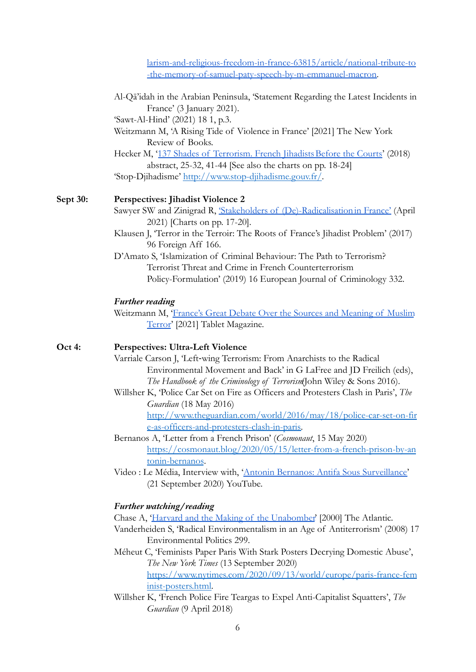[larism-and-religious-freedom-in-france-63815/article/national-tribute-to](https://www.diplomatie.gouv.fr/en/coming-to-france/france-facts/secularism-and-religious-freedom-in-france-63815/article/national-tribute-to-the-memory-of-samuel-paty-speech-by-m-emmanuel-macron) [-the-memory-of-samuel-paty-speech-by-m-emmanuel-macron.](https://www.diplomatie.gouv.fr/en/coming-to-france/france-facts/secularism-and-religious-freedom-in-france-63815/article/national-tribute-to-the-memory-of-samuel-paty-speech-by-m-emmanuel-macron)

- Al-Qā'idah in the Arabian Peninsula, 'Statement Regarding the Latest Incidents in France' (3 January 2021).
- 'Sawt-Al-Hind' (2021) 18 1, p.3.
- Weitzmann M, 'A Rising Tide of Violence in France' [2021] The New York Review of Books.
- Hecker M, '137 Shades of Terrorism. French Jihadists Before the Courts' (2018) abstract, 25-32, 41-44 [See also the charts on pp. 18-24] 'Stop-Djihadisme' <http://www.stop-djihadisme.gouv.fr/>.

#### **Sept 30: Perspectives: Jihadist Violence 2**

- Sawyer SW and Zinigrad R, ['Stakeholders of \(De\)-Radicalisationin France'](https://dradproject.com/?publications=stakeholders-of-de-radicalisation-in-france) (April 2021) [Charts on pp. 17-20].
- Klausen J, 'Terror in the Terroir: The Roots of France's Jihadist Problem' (2017) 96 Foreign Aff 166.
- D'Amato S, 'Islamization of Criminal Behaviour: The Path to Terrorism? Terrorist Threat and Crime in French Counterterrorism Policy-Formulation' (2019) 16 European Journal of Criminology 332.

#### *Further reading*

Weitzmann M, ['France's Great Debate Over the Sources](https://www.tabletmag.com/sections/news/articles/roy-kepel-marc-weitzmann) and Meaning of Muslim [Terror](https://www.tabletmag.com/sections/news/articles/roy-kepel-marc-weitzmann)' [2021] Tablet Magazine.

## **Oct 4: Perspectives: Ultra-Left Violence**

- Varriale Carson J, 'Left‐wing Terrorism: From Anarchists to the Radical Environmental Movement and Back' in G LaFree and JD Freilich (eds), *The Handbook of the Criminology of Terrorism*(John Wiley & Sons 2016).
- Willsher K, 'Police Car Set on Fire as Officers and Protesters Clash in Paris', *The Guardian* (18 May 2016)

[http://www.theguardian.com/world/2016/may/18/police-car-set-on-fir](http://www.theguardian.com/world/2016/may/18/police-car-set-on-fire-as-officers-and-protesters-clash-in-paris) [e-as-officers-and-protesters-clash-in-paris.](http://www.theguardian.com/world/2016/may/18/police-car-set-on-fire-as-officers-and-protesters-clash-in-paris)

- Bernanos A, 'Letter from a French Prison' (*Cosmonaut*, 15 May 2020) [https://cosmonaut.blog/2020/05/15/letter-from-a-french-prison-by-an](https://cosmonaut.blog/2020/05/15/letter-from-a-french-prison-by-antonin-bernanos) [tonin-bernanos](https://cosmonaut.blog/2020/05/15/letter-from-a-french-prison-by-antonin-bernanos).
- Video : Le Média, Interview with, 'Antonin Bernanos: [Antifa Sous Surveillance'](https://youtu.be/klBh7n_Y-eg) (21 September 2020) YouTube.

#### *Further watching/reading*

- Chase A, ['Harvard and the Making of the Unabomber](https://www.theatlantic.com/magazine/archive/2000/06/harvard-and-the-making-of-the-unabomber/378239/)' [2000] The Atlantic.
- Vanderheiden S, 'Radical Environmentalism in an Age of Antiterrorism' (2008) 17 Environmental Politics 299.

Méheut C, 'Feminists Paper Paris With Stark Posters Decrying Domestic Abuse', *The New York Times* (13 September 2020) [https://www.nytimes.com/2020/09/13/world/europe/paris-france-fem](https://www.nytimes.com/2020/09/13/world/europe/paris-france-feminist-posters.html) [inist-posters.html.](https://www.nytimes.com/2020/09/13/world/europe/paris-france-feminist-posters.html)

Willsher K, 'French Police Fire Teargas to Expel Anti-Capitalist Squatters', *The Guardian* (9 April 2018)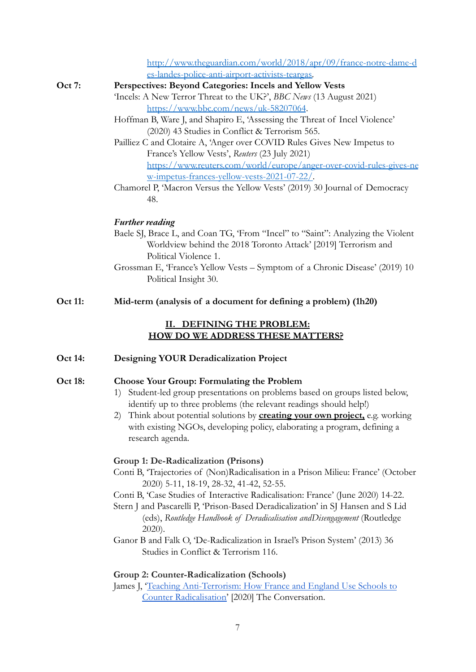[http://www.theguardian.com/world/2018/apr/09/france-notre-dame-d](http://www.theguardian.com/world/2018/apr/09/france-notre-dame-des-landes-police-anti-airport-activists-teargas) [es-landes-police-anti-airport-activists-teargas.](http://www.theguardian.com/world/2018/apr/09/france-notre-dame-des-landes-police-anti-airport-activists-teargas)

- **Oct 7: Perspectives: Beyond Categories: Incels and Yellow Vests** 'Incels: A New Terror Threat to the UK?', *BBC News* (13 August 2021) <https://www.bbc.com/news/uk-58207064>.
	- Hoffman B, Ware J, and Shapiro E, 'Assessing the Threat of Incel Violence' (2020) 43 Studies in Conflict & Terrorism 565.
	- Pailliez C and Clotaire A, 'Anger over COVID Rules Gives New Impetus to France's Yellow Vests', *Reuters* (23 July 2021) [https://www.reuters.com/world/europe/anger-over-covid-rules-gives-ne](https://www.reuters.com/world/europe/anger-over-covid-rules-gives-new-impetus-frances-yellow-vests-2021-07-22/) [w-impetus-frances-yellow-vests-2021-07-22/.](https://www.reuters.com/world/europe/anger-over-covid-rules-gives-new-impetus-frances-yellow-vests-2021-07-22/)
	- Chamorel P, 'Macron Versus the Yellow Vests' (2019) 30 Journal of Democracy 48.

### *Further reading*

- Baele SJ, Brace L, and Coan TG, 'From "Incel" to "Saint": Analyzing the Violent Worldview behind the 2018 Toronto Attack' [2019] Terrorism and Political Violence 1.
- Grossman E, 'France's Yellow Vests Symptom of a Chronic Disease' (2019) 10 Political Insight 30.

## **Oct 11: Mid-term (analysis of a document for defining a problem) (1h20)**

### **II. DEFINING THE PROBLEM: HOW DO WE ADDRESS THESE MATTERS?**

## **Oct 14: Designing YOUR Deradicalization Project**

### **Oct 18: Choose Your Group: Formulating the Problem**

- 1) Student-led group presentations on problems based on groups listed below, identify up to three problems (the relevant readings should help!)
- 2) Think about potential solutions by **creating your own project,** e.g. working with existing NGOs, developing policy, elaborating a program, defining a research agenda.

#### **Group 1: De-Radicalization (Prisons)**

Conti B, 'Trajectories of (Non)Radicalisation in a Prison Milieu: France' (October 2020) 5-11, 18-19, 28-32, 41-42, 52-55.

Conti B, 'Case Studies of Interactive Radicalisation: France' (June 2020) 14-22.

- Stern J and Pascarelli P, 'Prison-Based Deradicalization' in SJ Hansen and S Lid (eds), *Routledge Handbook of Deradicalisation andDisengagement* (Routledge 2020).
- Ganor B and Falk O, 'De-Radicalization in Israel's Prison System' (2013) 36 Studies in Conflict & Terrorism 116.

## **Group 2: Counter-Radicalization (Schools)**

James J, '[Teaching Anti-Terrorism: How France and](https://theconversation.com/teaching-anti-terrorism-how-france-and-england-use-schools-to-counter-radicalisation-150921) England Use Schools to [Counter Radicalisation'](https://theconversation.com/teaching-anti-terrorism-how-france-and-england-use-schools-to-counter-radicalisation-150921) [2020] The Conversation.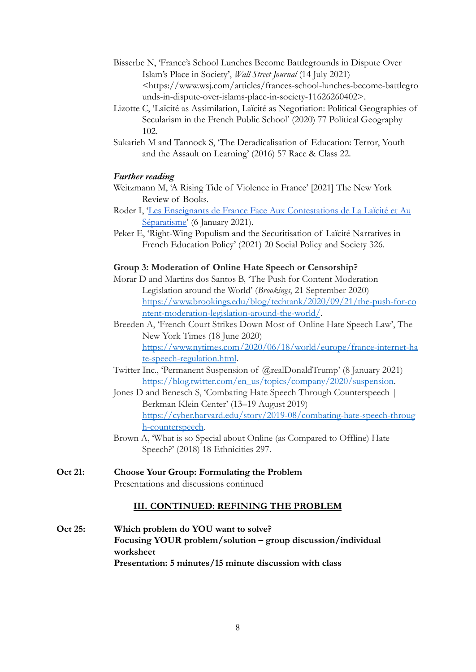- Bisserbe N, 'France's School Lunches Become Battlegrounds in Dispute Over Islam's Place in Society', *Wall Street Journal* (14 July 2021) <https://www.wsj.com/articles/frances-school-lunches-become-battlegro unds-in-dispute-over-islams-place-in-society-11626260402>.
- Lizotte C, 'Laïcité as Assimilation, Laïcité as Negotiation: Political Geographies of Secularism in the French Public School' (2020) 77 Political Geography 102.
- Sukarieh M and Tannock S, 'The Deradicalisation of Education: Terror, Youth and the Assault on Learning' (2016) 57 Race & Class 22.

## *Further reading*

- Weitzmann M, 'A Rising Tide of Violence in France' [2021] The New York Review of Books.
- Roder I, '[Les Enseignants de France Face Aux Contestations](https://www.jean-jaures.org/publication/les-enseignants-de-france-face-aux-contestations-de-la-laicite-et-au-separatisme/) de La Laïcité et Au [Séparatisme'](https://www.jean-jaures.org/publication/les-enseignants-de-france-face-aux-contestations-de-la-laicite-et-au-separatisme/) (6 January 2021).
- Peker E, 'Right-Wing Populism and the Securitisation of Laïcité Narratives in French Education Policy' (2021) 20 Social Policy and Society 326.

## **Group 3: Moderation of Online Hate Speech or Censorship?**

- Morar D and Martins dos Santos B, 'The Push for Content Moderation Legislation around the World' (*Brookings*, 21 September 2020) [https://www.brookings.edu/blog/techtank/2020/09/21/the-push-for-co](https://www.brookings.edu/blog/techtank/2020/09/21/the-push-for-content-moderation-legislation-around-the-world/) [ntent-moderation-legislation-around-the-world/](https://www.brookings.edu/blog/techtank/2020/09/21/the-push-for-content-moderation-legislation-around-the-world/).
- Breeden A, 'French Court Strikes Down Most of Online Hate Speech Law', The New York Times (18 June 2020) [https://www.nytimes.com/2020/06/18/world/europe/france-internet-ha](https://www.nytimes.com/2020/06/18/world/europe/france-internet-hate-speech-regulation.html) [te-speech-regulation.html](https://www.nytimes.com/2020/06/18/world/europe/france-internet-hate-speech-regulation.html).
- Twitter Inc., 'Permanent Suspension of @realDonaldTrump' (8 January 2021) [https://blog.twitter.com/en\\_us/topics/company/2020/suspension](https://blog.twitter.com/en_us/topics/company/2020/suspension).
- Jones D and Benesch S, 'Combating Hate Speech Through Counterspeech | Berkman Klein Center' (13–19 August 2019) [https://cyber.harvard.edu/story/2019-08/combating-hate-speech-throug](https://cyber.harvard.edu/story/2019-08/combating-hate-speech-through-counterspeech) [h-counterspeech](https://cyber.harvard.edu/story/2019-08/combating-hate-speech-through-counterspeech).
- Brown A, 'What is so Special about Online (as Compared to Offline) Hate Speech?' (2018) 18 Ethnicities 297.
- **Oct 21: Choose Your Group: Formulating the Problem** Presentations and discussions continued

## **III. CONTINUED: REFINING THE PROBLEM**

**Oct 25: Which problem do YOU want to solve? Focusing YOUR problem/solution – group discussion/individual worksheet Presentation: 5 minutes/15 minute discussion with class**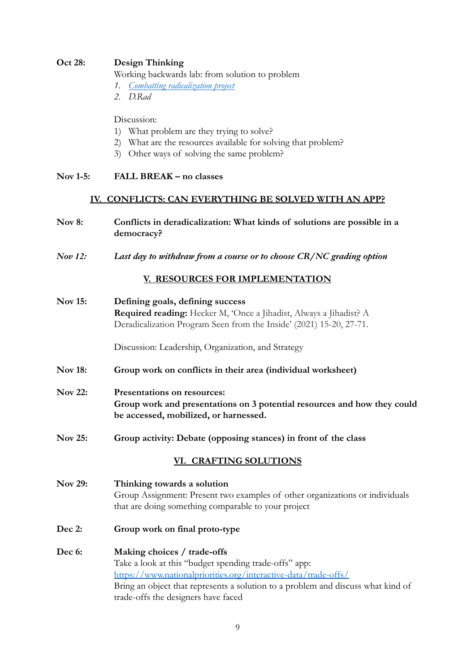## **Oct 28: Design Thinking**

Working backwards lab: from solution to problem

- *1. [Combatting radicalization project](http://www.radicalisation.fr/)*
- *2. D.Rad*

Discussion:

- 1) What problem are they trying to solve?
- 2) What are the resources available for solving that problem?
- 3) Other ways of solving the same problem?

## **Nov 1-5: FALL BREAK – no classes**

### **IV. CONFLICTS: CAN EVERYTHING BE SOLVED WITH AN APP?**

- **Nov 8: Conflicts in deradicalization: What kinds of solutions are possible in a democracy?**
- *Nov 12: Last day to withdraw from a course or to choose CR/NC grading option*

## **V. RESOURCES FOR IMPLEMENTATION**

**Nov 15: Defining goals, defining success Required reading:** Hecker M, 'Once a Jihadist, Always a Jihadist? A Deradicalization Program Seen from the Inside' (2021) 15-20, 27-71.

Discussion: Leadership, Organization, and Strategy

- **Nov 18: Group work on conflicts in their area (individual worksheet)**
- **Nov 22: Presentations on resources: Group work and presentations on 3 potential resources and how they could be accessed, mobilized, or harnessed.**
- **Nov 25: Group activity: Debate (opposing stances) in front of the class**

## **VI. CRAFTING SOLUTIONS**

**Nov 29: Thinking towards a solution** Group Assignment: Present two examples of other organizations or individuals that are doing something comparable to your project

- **Dec 2: Group work on final proto-type**
- **Dec 6: Making choices / trade-offs** Take a look at this "budget spending trade-offs" app: <https://www.nationalpriorities.org/interactive-data/trade-offs/> Bring an object that represents a solution to a problem and discuss what kind of trade-offs the designers have faced